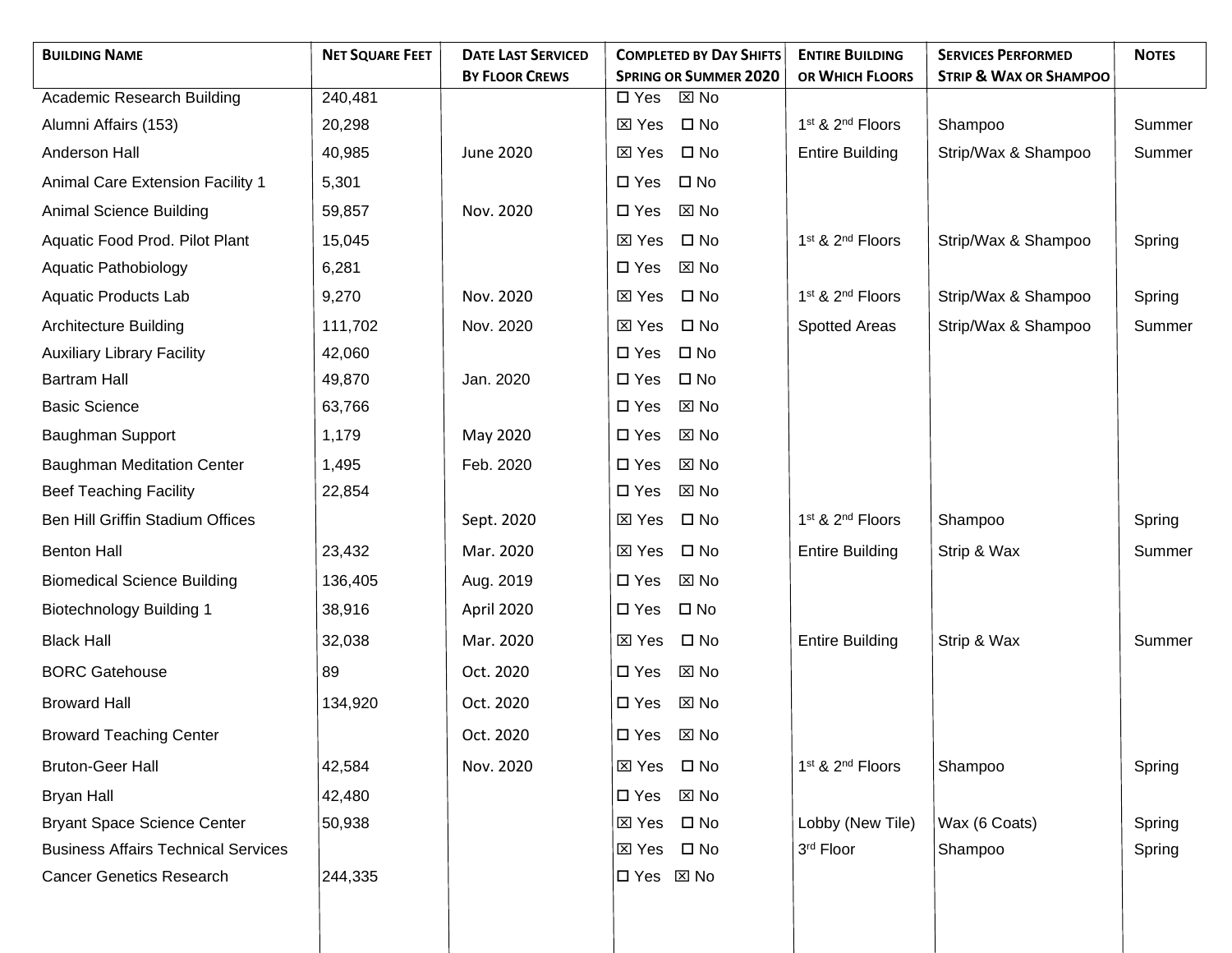| <b>BUILDING NAME</b>                       | <b>NET SQUARE FEET</b> | <b>DATE LAST SERVICED</b> | <b>COMPLETED BY DAY SHIFTS</b>                                  | <b>ENTIRE BUILDING</b>                   | <b>SERVICES PERFORMED</b>         | <b>NOTES</b> |
|--------------------------------------------|------------------------|---------------------------|-----------------------------------------------------------------|------------------------------------------|-----------------------------------|--------------|
| Academic Research Building                 | 240,481                | <b>BY FLOOR CREWS</b>     | <b>SPRING OR SUMMER 2020</b><br>$\boxtimes$ No<br>$\square$ Yes | OR WHICH FLOORS                          | <b>STRIP &amp; WAX OR SHAMPOO</b> |              |
| Alumni Affairs (153)                       | 20,298                 |                           | $\boxtimes$ Yes<br>$\square$ No                                 | 1 <sup>st</sup> & 2 <sup>nd</sup> Floors | Shampoo                           | Summer       |
| Anderson Hall                              | 40,985                 | June 2020                 | $\square$ No<br>⊠ Yes                                           | <b>Entire Building</b>                   | Strip/Wax & Shampoo               | Summer       |
| Animal Care Extension Facility 1           | 5,301                  |                           | $\square$ No<br>$\square$ Yes                                   |                                          |                                   |              |
| Animal Science Building                    | 59,857                 | Nov. 2020                 | $\square$ Yes<br>⊠ No                                           |                                          |                                   |              |
| Aquatic Food Prod. Pilot Plant             | 15,045                 |                           | $\square$ No<br>$\boxtimes$ Yes                                 | 1 <sup>st</sup> & 2 <sup>nd</sup> Floors | Strip/Wax & Shampoo               |              |
| <b>Aquatic Pathobiology</b>                | 6,281                  |                           | $\boxtimes$ No<br>$\square$ Yes                                 |                                          |                                   | Spring       |
|                                            |                        | Nov. 2020                 | $\square$ No                                                    | 1st & 2nd Floors                         | Strip/Wax & Shampoo               |              |
| Aquatic Products Lab                       | 9,270                  |                           | ⊠ Yes                                                           |                                          |                                   | Spring       |
| <b>Architecture Building</b>               | 111,702                | Nov. 2020                 | $\square$ No<br>⊠ Yes                                           | <b>Spotted Areas</b>                     | Strip/Wax & Shampoo               | Summer       |
| <b>Auxiliary Library Facility</b>          | 42,060                 |                           | $\square$ No<br>$\square$ Yes                                   |                                          |                                   |              |
| <b>Bartram Hall</b>                        | 49,870                 | Jan. 2020                 | $\square$ No<br>$\square$ Yes                                   |                                          |                                   |              |
| <b>Basic Science</b>                       | 63,766                 |                           | $\square$ Yes<br>⊠ No                                           |                                          |                                   |              |
| Baughman Support                           | 1,179                  | May 2020                  | $\square$ Yes<br>⊠ No                                           |                                          |                                   |              |
| <b>Baughman Meditation Center</b>          | 1,495                  | Feb. 2020                 | $\Sigma$ No<br>$\square$ Yes                                    |                                          |                                   |              |
| <b>Beef Teaching Facility</b>              | 22,854                 |                           | $\boxtimes$ No<br>$\square$ Yes                                 |                                          |                                   |              |
| Ben Hill Griffin Stadium Offices           |                        | Sept. 2020                | $\square$ No<br>$\boxtimes$ Yes                                 | 1 <sup>st</sup> & 2 <sup>nd</sup> Floors | Shampoo                           | Spring       |
| <b>Benton Hall</b>                         | 23,432                 | Mar. 2020                 | $\square$ No<br>⊠ Yes                                           | <b>Entire Building</b>                   | Strip & Wax                       | Summer       |
| <b>Biomedical Science Building</b>         | 136,405                | Aug. 2019                 | $\boxtimes$ No<br>$\square$ Yes                                 |                                          |                                   |              |
| <b>Biotechnology Building 1</b>            | 38,916                 | April 2020                | $\square$ Yes<br>$\square$ No                                   |                                          |                                   |              |
| <b>Black Hall</b>                          | 32,038                 | Mar. 2020                 | $\boxtimes$ Yes<br>$\square$ No                                 | <b>Entire Building</b>                   | Strip & Wax                       | Summer       |
| <b>BORC Gatehouse</b>                      | 89                     | Oct. 2020                 | $\boxtimes$ No<br>$\square$ Yes                                 |                                          |                                   |              |
| <b>Broward Hall</b>                        | 134,920                | Oct. 2020                 | $\boxtimes$ No<br>$\square$ Yes                                 |                                          |                                   |              |
| <b>Broward Teaching Center</b>             |                        | Oct. 2020                 | □ Yes ⊠ No                                                      |                                          |                                   |              |
| <b>Bruton-Geer Hall</b>                    | 42,584                 | Nov. 2020                 | ⊠ Yes □ No                                                      | 1 <sup>st</sup> & 2 <sup>nd</sup> Floors | Shampoo                           | Spring       |
| <b>Bryan Hall</b>                          | 42,480                 |                           | $\boxtimes$ No<br>$\square$ Yes                                 |                                          |                                   |              |
| <b>Bryant Space Science Center</b>         | 50,938                 |                           | $\square$ No<br>⊠ Yes                                           | Lobby (New Tile)                         | Wax (6 Coats)                     | Spring       |
| <b>Business Affairs Technical Services</b> |                        |                           | $\square$ No<br>⊠ Yes                                           | 3rd Floor                                | Shampoo                           | Spring       |
| <b>Cancer Genetics Research</b>            | 244,335                |                           | □ Yes ⊠ No                                                      |                                          |                                   |              |
|                                            |                        |                           |                                                                 |                                          |                                   |              |
|                                            |                        |                           |                                                                 |                                          |                                   |              |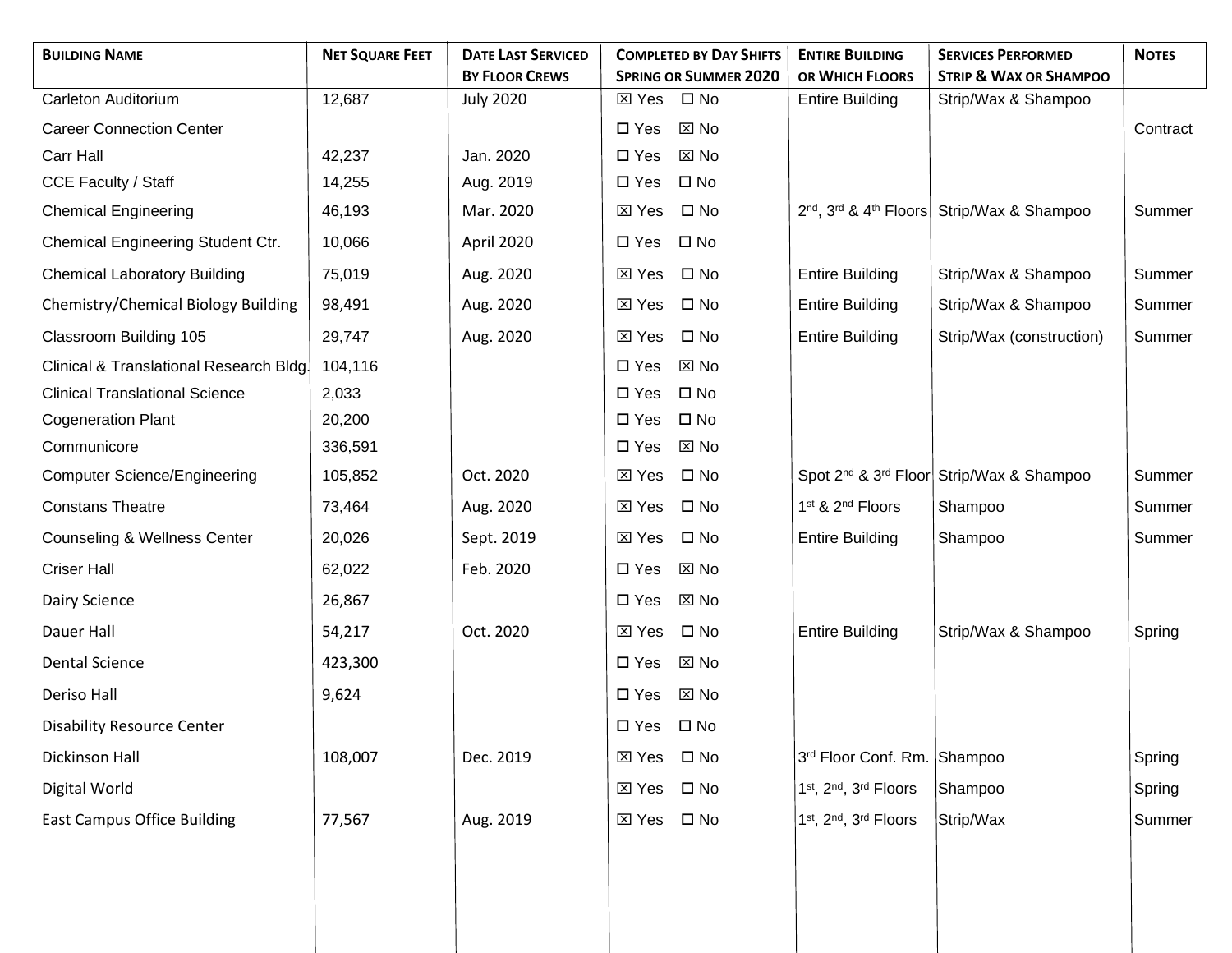| <b>BUILDING NAME</b>                    | <b>NET SQUARE FEET</b> | <b>DATE LAST SERVICED</b><br><b>BY FLOOR CREWS</b> |                 | <b>COMPLETED BY DAY SHIFTS</b><br><b>SPRING OR SUMMER 2020</b> | <b>ENTIRE BUILDING</b><br>OR WHICH FLOORS | <b>SERVICES PERFORMED</b><br><b>STRIP &amp; WAX OR SHAMPOO</b>                 | <b>NOTES</b> |
|-----------------------------------------|------------------------|----------------------------------------------------|-----------------|----------------------------------------------------------------|-------------------------------------------|--------------------------------------------------------------------------------|--------------|
| Carleton Auditorium                     | 12,687                 | <b>July 2020</b>                                   | $\boxtimes$ Yes | $\square$ No                                                   | <b>Entire Building</b>                    | Strip/Wax & Shampoo                                                            |              |
| <b>Career Connection Center</b>         |                        |                                                    | $\square$ Yes   | $\Sigma$ No                                                    |                                           |                                                                                | Contract     |
| Carr Hall                               | 42,237                 | Jan. 2020                                          | $\square$ Yes   | $\boxtimes$ No                                                 |                                           |                                                                                |              |
| <b>CCE Faculty / Staff</b>              | 14,255                 | Aug. 2019                                          | $\square$ Yes   | $\square$ No                                                   |                                           |                                                                                |              |
| <b>Chemical Engineering</b>             | 46,193                 | Mar. 2020                                          | ⊠ Yes           | $\square$ No                                                   |                                           | 2 <sup>nd</sup> , 3 <sup>rd</sup> & 4 <sup>th</sup> Floors Strip/Wax & Shampoo | Summer       |
| Chemical Engineering Student Ctr.       | 10,066                 | April 2020                                         | $\square$ Yes   | $\square$ No                                                   |                                           |                                                                                |              |
| <b>Chemical Laboratory Building</b>     | 75,019                 | Aug. 2020                                          | ⊠ Yes           | $\square$ No                                                   | <b>Entire Building</b>                    | Strip/Wax & Shampoo                                                            | Summer       |
| Chemistry/Chemical Biology Building     | 98,491                 | Aug. 2020                                          | ⊠ Yes           | $\square$ No                                                   | <b>Entire Building</b>                    | Strip/Wax & Shampoo                                                            | Summer       |
| Classroom Building 105                  | 29,747                 | Aug. 2020                                          | $\boxtimes$ Yes | $\square$ No                                                   | <b>Entire Building</b>                    | Strip/Wax (construction)                                                       | Summer       |
| Clinical & Translational Research Bldg. | 104,116                |                                                    | $\square$ Yes   | ⊠ No                                                           |                                           |                                                                                |              |
| <b>Clinical Translational Science</b>   | 2,033                  |                                                    | $\square$ Yes   | $\square$ No                                                   |                                           |                                                                                |              |
| <b>Cogeneration Plant</b>               | 20,200                 |                                                    | $\square$ Yes   | $\square$ No                                                   |                                           |                                                                                |              |
| Communicore                             | 336,591                |                                                    | $\square$ Yes   | ⊠ No                                                           |                                           |                                                                                |              |
| <b>Computer Science/Engineering</b>     | 105,852                | Oct. 2020                                          | ⊠ Yes           | $\square$ No                                                   |                                           | Spot 2 <sup>nd</sup> & 3 <sup>rd</sup> Floor Strip/Wax & Shampoo               | Summer       |
| <b>Constans Theatre</b>                 | 73,464                 | Aug. 2020                                          | $\boxtimes$ Yes | $\square$ No                                                   | 1 <sup>st</sup> & 2 <sup>nd</sup> Floors  | Shampoo                                                                        | Summer       |
| <b>Counseling &amp; Wellness Center</b> | 20,026                 | Sept. 2019                                         | ⊠ Yes           | $\square$ No                                                   | <b>Entire Building</b>                    | Shampoo                                                                        | Summer       |
| <b>Criser Hall</b>                      | 62,022                 | Feb. 2020                                          | $\square$ Yes   | $\boxtimes$ No                                                 |                                           |                                                                                |              |
| Dairy Science                           | 26,867                 |                                                    | $\square$ Yes   | $\boxtimes$ No                                                 |                                           |                                                                                |              |
| Dauer Hall                              | 54,217                 | Oct. 2020                                          | $\boxtimes$ Yes | $\square$ No                                                   | <b>Entire Building</b>                    | Strip/Wax & Shampoo                                                            | Spring       |
| <b>Dental Science</b>                   | 423,300                |                                                    | $\square$ Yes   | $\boxtimes$ No                                                 |                                           |                                                                                |              |
| Deriso Hall                             | 9,624                  |                                                    | $\square$ Yes   | $\boxtimes$ No                                                 |                                           |                                                                                |              |
| <b>Disability Resource Center</b>       |                        |                                                    | $\square$ Yes   | $\square$ No                                                   |                                           |                                                                                |              |
| Dickinson Hall                          | 108,007                | Dec. 2019                                          | ⊠ Yes □ No      |                                                                | 3rd Floor Conf. Rm. Shampoo               |                                                                                | Spring       |
| Digital World                           |                        |                                                    | ⊠ Yes □ No      |                                                                | 1st, 2nd, 3rd Floors                      | Shampoo                                                                        | Spring       |
| <b>East Campus Office Building</b>      | 77,567                 | Aug. 2019                                          | $\boxtimes$ Yes | $\square$ No                                                   | 1st, 2nd, 3rd Floors                      | Strip/Wax                                                                      | Summer       |
|                                         |                        |                                                    |                 |                                                                |                                           |                                                                                |              |
|                                         |                        |                                                    |                 |                                                                |                                           |                                                                                |              |
|                                         |                        |                                                    |                 |                                                                |                                           |                                                                                |              |
|                                         |                        |                                                    |                 |                                                                |                                           |                                                                                |              |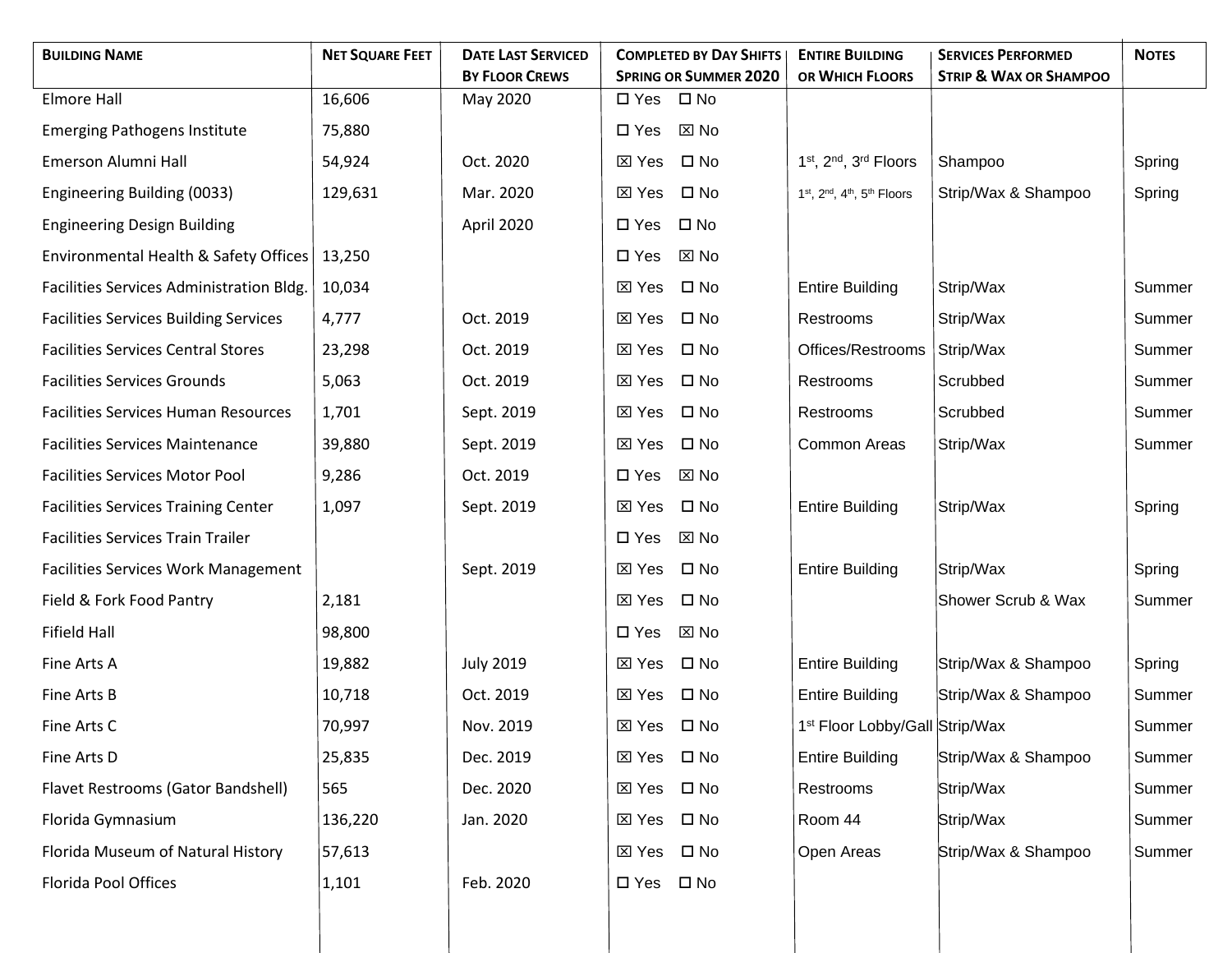| <b>BUILDING NAME</b>                         | <b>NET SQUARE FEET</b> | <b>DATE LAST SERVICED</b> | <b>COMPLETED BY DAY SHIFTS</b>  | <b>ENTIRE BUILDING</b>                                                       | <b>SERVICES PERFORMED</b>         | <b>NOTES</b> |
|----------------------------------------------|------------------------|---------------------------|---------------------------------|------------------------------------------------------------------------------|-----------------------------------|--------------|
|                                              |                        | <b>BY FLOOR CREWS</b>     | <b>SPRING OR SUMMER 2020</b>    | OR WHICH FLOORS                                                              | <b>STRIP &amp; WAX OR SHAMPOO</b> |              |
| <b>Elmore Hall</b>                           | 16,606                 | May 2020                  | $\square$ No<br>$\square$ Yes   |                                                                              |                                   |              |
| <b>Emerging Pathogens Institute</b>          | 75,880                 |                           | $\boxtimes$ No<br>$\square$ Yes |                                                                              |                                   |              |
| Emerson Alumni Hall                          | 54,924                 | Oct. 2020                 | $\square$ No<br>$\boxtimes$ Yes | 1 <sup>st</sup> , 2 <sup>nd</sup> , 3 <sup>rd</sup> Floors                   | Shampoo                           | Spring       |
| Engineering Building (0033)                  | 129,631                | Mar. 2020                 | $\square$ No<br>⊠ Yes           | 1 <sup>st</sup> , 2 <sup>nd</sup> , 4 <sup>th</sup> , 5 <sup>th</sup> Floors | Strip/Wax & Shampoo               | Spring       |
| <b>Engineering Design Building</b>           |                        | April 2020                | $\square$ No<br>$\square$ Yes   |                                                                              |                                   |              |
| Environmental Health & Safety Offices        | 13,250                 |                           | $\boxtimes$ No<br>$\square$ Yes |                                                                              |                                   |              |
| Facilities Services Administration Bldg.     | 10,034                 |                           | $\square$ No<br>$\boxtimes$ Yes | <b>Entire Building</b>                                                       | Strip/Wax                         | Summer       |
| <b>Facilities Services Building Services</b> | 4,777                  | Oct. 2019                 | $\square$ No<br>$\boxtimes$ Yes | Restrooms                                                                    | Strip/Wax                         | Summer       |
| <b>Facilities Services Central Stores</b>    | 23,298                 | Oct. 2019                 | $\square$ No<br>$\boxtimes$ Yes | Offices/Restrooms                                                            | Strip/Wax                         | Summer       |
| <b>Facilities Services Grounds</b>           | 5,063                  | Oct. 2019                 | $\square$ No<br>$\boxtimes$ Yes | Restrooms                                                                    | Scrubbed                          | Summer       |
| <b>Facilities Services Human Resources</b>   | 1,701                  | Sept. 2019                | $\square$ No<br>$\boxtimes$ Yes | Restrooms                                                                    | Scrubbed                          | Summer       |
| <b>Facilities Services Maintenance</b>       | 39,880                 | Sept. 2019                | $\boxtimes$ Yes<br>$\square$ No | Common Areas                                                                 | Strip/Wax                         | Summer       |
| <b>Facilities Services Motor Pool</b>        | 9,286                  | Oct. 2019                 | $\boxtimes$ No<br>$\square$ Yes |                                                                              |                                   |              |
| <b>Facilities Services Training Center</b>   | 1,097                  | Sept. 2019                | $\square$ No<br>$\boxtimes$ Yes | <b>Entire Building</b>                                                       | Strip/Wax                         | Spring       |
| <b>Facilities Services Train Trailer</b>     |                        |                           | $\square$ Yes<br>⊠ No           |                                                                              |                                   |              |
| <b>Facilities Services Work Management</b>   |                        | Sept. 2019                | $\square$ No<br>⊠ Yes           | <b>Entire Building</b>                                                       | Strip/Wax                         | Spring       |
| Field & Fork Food Pantry                     | 2,181                  |                           | $\square$ No<br>⊠ Yes           |                                                                              | Shower Scrub & Wax                | Summer       |
| Fifield Hall                                 | 98,800                 |                           | ⊠ No<br>$\square$ Yes           |                                                                              |                                   |              |
| Fine Arts A                                  | 19,882                 | <b>July 2019</b>          | $\square$ No<br>⊠ Yes           | <b>Entire Building</b>                                                       | Strip/Wax & Shampoo               | Spring       |
| Fine Arts B                                  | 10,718                 | Oct. 2019                 | $\square$ No<br>⊠ Yes           | <b>Entire Building</b>                                                       | Strip/Wax & Shampoo               | Summer       |
| Fine Arts C                                  | 70,997                 | Nov. 2019                 | $\square$ No<br>⊠ Yes           | 1 <sup>st</sup> Floor Lobby/Gall Strip/Wax                                   |                                   | Summer       |
| Fine Arts D                                  | 25,835                 | Dec. 2019                 | $\square$ No<br>$\boxtimes$ Yes | <b>Entire Building</b>                                                       | Strip/Wax & Shampoo               | Summer       |
| Flavet Restrooms (Gator Bandshell)           | 565                    | Dec. 2020                 | $\square$ No<br>⊠ Yes           | Restrooms                                                                    | Strip/Wax                         | Summer       |
| Florida Gymnasium                            | 136,220                | Jan. 2020                 | $\square$ No<br>$\boxtimes$ Yes | Room 44                                                                      | Strip/Wax                         | Summer       |
| Florida Museum of Natural History            | 57,613                 |                           | $\square$ No<br>$\boxtimes$ Yes | Open Areas                                                                   | Strip/Wax & Shampoo               | Summer       |
| Florida Pool Offices                         | 1,101                  | Feb. 2020                 | $\square$ No<br>$\square$ Yes   |                                                                              |                                   |              |
|                                              |                        |                           |                                 |                                                                              |                                   |              |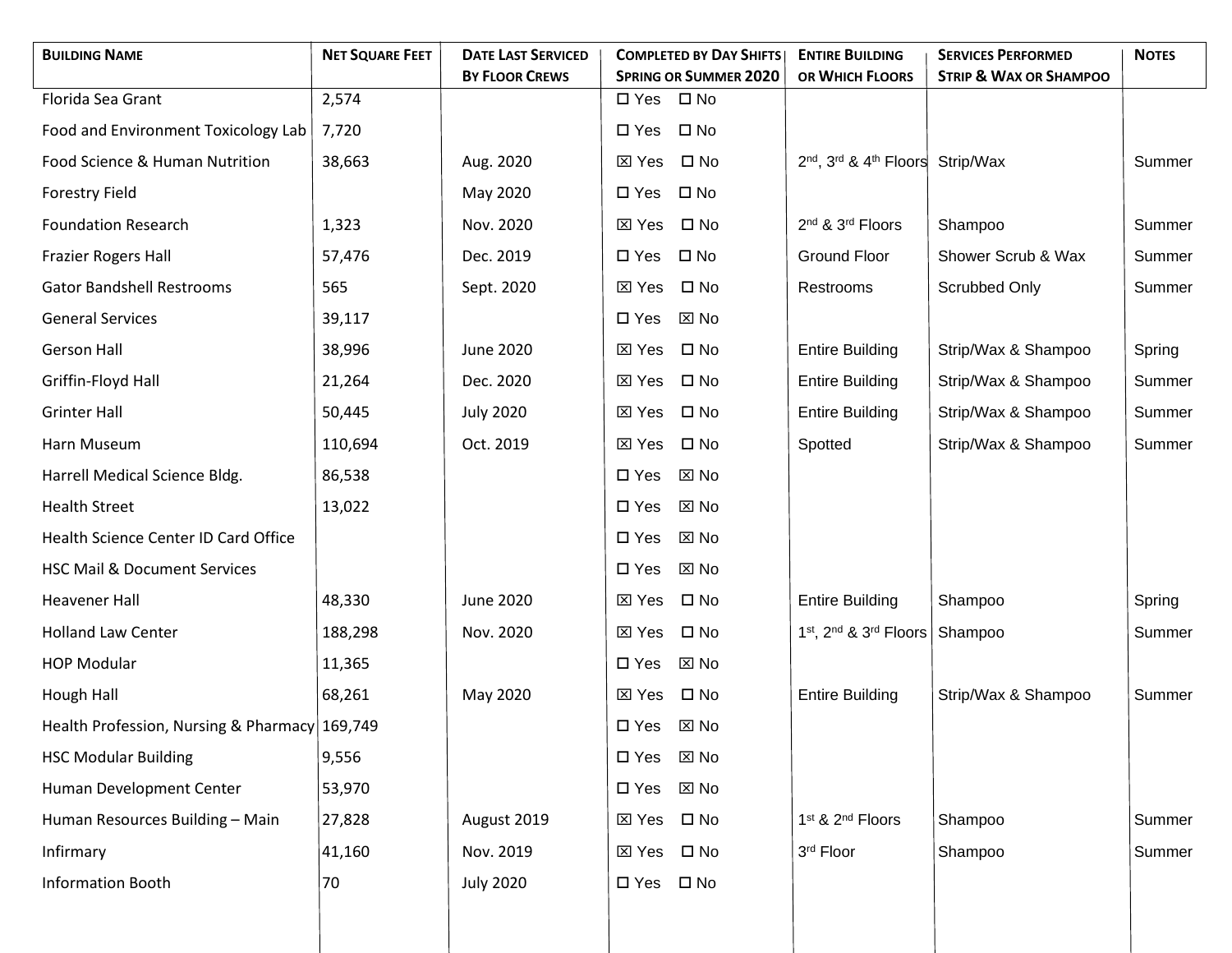| <b>BUILDING NAME</b>                          | <b>NET SQUARE FEET</b> | <b>DATE LAST SERVICED</b> | <b>COMPLETED BY DAY SHIFTS</b>                                | <b>ENTIRE BUILDING</b>                                               | <b>SERVICES PERFORMED</b>         | <b>NOTES</b> |
|-----------------------------------------------|------------------------|---------------------------|---------------------------------------------------------------|----------------------------------------------------------------------|-----------------------------------|--------------|
| Florida Sea Grant                             | 2,574                  | <b>BY FLOOR CREWS</b>     | <b>SPRING OR SUMMER 2020</b><br>$\square$ No<br>$\square$ Yes | OR WHICH FLOORS                                                      | <b>STRIP &amp; WAX OR SHAMPOO</b> |              |
|                                               | 7,720                  |                           | $\square$ No<br>$\square$ Yes                                 |                                                                      |                                   |              |
| Food and Environment Toxicology Lab           |                        |                           |                                                               |                                                                      |                                   |              |
| Food Science & Human Nutrition                | 38,663                 | Aug. 2020                 | $\square$ No<br>$\boxtimes$ Yes                               | 2 <sup>nd</sup> , 3 <sup>rd</sup> & 4 <sup>th</sup> Floors Strip/Wax |                                   | Summer       |
| <b>Forestry Field</b>                         |                        | May 2020                  | $\square$ Yes<br>$\square$ No                                 |                                                                      |                                   |              |
| <b>Foundation Research</b>                    | 1,323                  | Nov. 2020                 | $\square$ No<br>$\boxtimes$ Yes                               | 2nd & 3rd Floors                                                     | Shampoo                           | Summer       |
| <b>Frazier Rogers Hall</b>                    | 57,476                 | Dec. 2019                 | $\square$ Yes<br>$\square$ No                                 | <b>Ground Floor</b>                                                  | Shower Scrub & Wax                | Summer       |
| <b>Gator Bandshell Restrooms</b>              | 565                    | Sept. 2020                | $\square$ No<br>⊠ Yes                                         | Restrooms                                                            | Scrubbed Only                     | Summer       |
| <b>General Services</b>                       | 39,117                 |                           | $\boxtimes$ No<br>$\square$ Yes                               |                                                                      |                                   |              |
| <b>Gerson Hall</b>                            | 38,996                 | <b>June 2020</b>          | $\boxtimes$ Yes<br>$\square$ No                               | <b>Entire Building</b>                                               | Strip/Wax & Shampoo               | Spring       |
| Griffin-Floyd Hall                            | 21,264                 | Dec. 2020                 | $\square$ No<br>⊠ Yes                                         | <b>Entire Building</b>                                               | Strip/Wax & Shampoo               | Summer       |
| <b>Grinter Hall</b>                           | 50,445                 | <b>July 2020</b>          | $\boxtimes$ Yes<br>$\square$ No                               | <b>Entire Building</b>                                               | Strip/Wax & Shampoo               | Summer       |
| Harn Museum                                   | 110,694                | Oct. 2019                 | $\square$ No<br>⊠ Yes                                         | Spotted                                                              | Strip/Wax & Shampoo               | Summer       |
| Harrell Medical Science Bldg.                 | 86,538                 |                           | $\Sigma$ No<br>$\square$ Yes                                  |                                                                      |                                   |              |
| <b>Health Street</b>                          | 13,022                 |                           | $\square$ Yes<br>⊠ No                                         |                                                                      |                                   |              |
| Health Science Center ID Card Office          |                        |                           | $\square$ Yes<br>⊠ No                                         |                                                                      |                                   |              |
| <b>HSC Mail &amp; Document Services</b>       |                        |                           | $\boxtimes$ No<br>$\square$ Yes                               |                                                                      |                                   |              |
| <b>Heavener Hall</b>                          | 48,330                 | June 2020                 | $\square$ No<br>⊠ Yes                                         | <b>Entire Building</b>                                               | Shampoo                           | Spring       |
| <b>Holland Law Center</b>                     | 188,298                | Nov. 2020                 | $\square$ No<br>$\boxtimes$ Yes                               | 1st, 2nd & 3rd Floors                                                | Shampoo                           | Summer       |
| <b>HOP Modular</b>                            | 11,365                 |                           | $\boxtimes$ No<br>$\square$ Yes                               |                                                                      |                                   |              |
| Hough Hall                                    | 68,261                 | May 2020                  | $\square$ No<br>⊠ Yes                                         | <b>Entire Building</b>                                               | Strip/Wax & Shampoo               | Summer       |
| Health Profession, Nursing & Pharmacy 169,749 |                        |                           | $\square$ Yes<br>⊠ No                                         |                                                                      |                                   |              |
| <b>HSC Modular Building</b>                   | 9,556                  |                           | $\square$ Yes<br>$\boxtimes$ No                               |                                                                      |                                   |              |
| Human Development Center                      | 53,970                 |                           | $\boxtimes$ No<br>$\square$ Yes                               |                                                                      |                                   |              |
| Human Resources Building - Main               | 27,828                 | August 2019               | $\square$ No<br>$\boxtimes$ Yes                               | 1 <sup>st</sup> & 2 <sup>nd</sup> Floors                             | Shampoo                           | Summer       |
| Infirmary                                     | 41,160                 | Nov. 2019                 | $\square$ No<br>$\boxtimes$ Yes                               | 3rd Floor                                                            | Shampoo                           | Summer       |
| <b>Information Booth</b>                      | 70                     | <b>July 2020</b>          | $\square$ No<br>$\square$ Yes                                 |                                                                      |                                   |              |
|                                               |                        |                           |                                                               |                                                                      |                                   |              |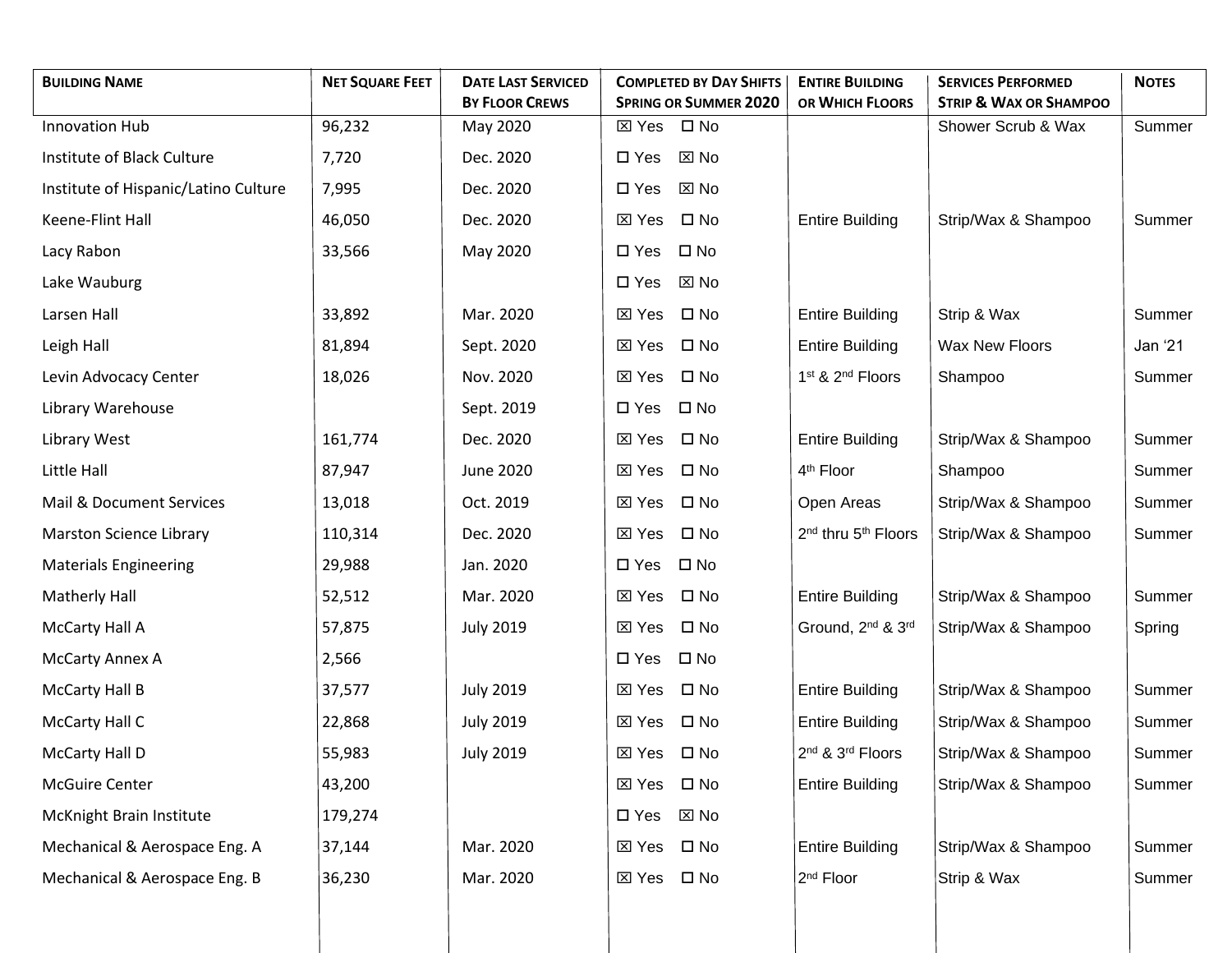| <b>BUILDING NAME</b>                 | <b>NET SQUARE FEET</b> | <b>DATE LAST SERVICED</b> | <b>COMPLETED BY DAY SHIFTS</b>  | <b>ENTIRE BUILDING</b>                      | <b>SERVICES PERFORMED</b>         | <b>NOTES</b> |
|--------------------------------------|------------------------|---------------------------|---------------------------------|---------------------------------------------|-----------------------------------|--------------|
|                                      |                        | <b>BY FLOOR CREWS</b>     | <b>SPRING OR SUMMER 2020</b>    | OR WHICH FLOORS                             | <b>STRIP &amp; WAX OR SHAMPOO</b> |              |
| <b>Innovation Hub</b>                | 96,232                 | May 2020                  | $\square$ No<br>⊠ Yes           |                                             | Shower Scrub & Wax                | Summer       |
| Institute of Black Culture           | 7,720                  | Dec. 2020                 | $\Sigma$ No<br>$\square$ Yes    |                                             |                                   |              |
| Institute of Hispanic/Latino Culture | 7,995                  | Dec. 2020                 | $\square$ Yes<br>⊠ No           |                                             |                                   |              |
| Keene-Flint Hall                     | 46,050                 | Dec. 2020                 | ⊠ Yes<br>$\square$ No           | <b>Entire Building</b>                      | Strip/Wax & Shampoo               | Summer       |
| Lacy Rabon                           | 33,566                 | May 2020                  | $\square$ Yes<br>$\square$ No   |                                             |                                   |              |
| Lake Wauburg                         |                        |                           | $\boxtimes$ No<br>$\square$ Yes |                                             |                                   |              |
| Larsen Hall                          | 33,892                 | Mar. 2020                 | ⊠ Yes<br>$\square$ No           | <b>Entire Building</b>                      | Strip & Wax                       | Summer       |
| Leigh Hall                           | 81,894                 | Sept. 2020                | ⊠ Yes<br>$\square$ No           | <b>Entire Building</b>                      | Wax New Floors                    | Jan '21      |
| Levin Advocacy Center                | 18,026                 | Nov. 2020                 | ⊠ Yes<br>$\square$ No           | 1 <sup>st</sup> & 2 <sup>nd</sup> Floors    | Shampoo                           | Summer       |
| Library Warehouse                    |                        | Sept. 2019                | $\square$ No<br>$\square$ Yes   |                                             |                                   |              |
| Library West                         | 161,774                | Dec. 2020                 | ⊠ Yes<br>$\square$ No           | <b>Entire Building</b>                      | Strip/Wax & Shampoo               | Summer       |
| Little Hall                          | 87,947                 | June 2020                 | $\boxtimes$ Yes<br>$\square$ No | 4 <sup>th</sup> Floor                       | Shampoo                           | Summer       |
| Mail & Document Services             | 13,018                 | Oct. 2019                 | $\square$ No<br>⊠ Yes           | Open Areas                                  | Strip/Wax & Shampoo               | Summer       |
| Marston Science Library              | 110,314                | Dec. 2020                 | $\square$ No<br>$\boxtimes$ Yes | 2 <sup>nd</sup> thru 5 <sup>th</sup> Floors | Strip/Wax & Shampoo               | Summer       |
| <b>Materials Engineering</b>         | 29,988                 | Jan. 2020                 | $\square$ No<br>$\square$ Yes   |                                             |                                   |              |
| Matherly Hall                        | 52,512                 | Mar. 2020                 | ⊠ Yes<br>$\square$ No           | <b>Entire Building</b>                      | Strip/Wax & Shampoo               | Summer       |
| McCarty Hall A                       | 57,875                 | <b>July 2019</b>          | $\square$ No<br>$\boxtimes$ Yes | Ground, 2 <sup>nd</sup> & 3 <sup>rd</sup>   | Strip/Wax & Shampoo               | Spring       |
| <b>McCarty Annex A</b>               | 2,566                  |                           | $\square$ No<br>$\square$ Yes   |                                             |                                   |              |
| <b>McCarty Hall B</b>                | 37,577                 | <b>July 2019</b>          | $\square$ No<br>⊠ Yes           | <b>Entire Building</b>                      | Strip/Wax & Shampoo               | Summer       |
| McCarty Hall C                       | 22,868                 | <b>July 2019</b>          | $\square$ No<br>$\boxtimes$ Yes | <b>Entire Building</b>                      | Strip/Wax & Shampoo               | Summer       |
| <b>McCarty Hall D</b>                | 55,983                 | <b>July 2019</b>          | ⊠ Yes □ No                      | 2nd & 3rd Floors                            | Strip/Wax & Shampoo               | Summer       |
| <b>McGuire Center</b>                | 43,200                 |                           | $\square$ No<br>$\boxtimes$ Yes | <b>Entire Building</b>                      | Strip/Wax & Shampoo               | Summer       |
| McKnight Brain Institute             | 179,274                |                           | $\boxtimes$ No<br>$\square$ Yes |                                             |                                   |              |
| Mechanical & Aerospace Eng. A        | 37,144                 | Mar. 2020                 | $\boxtimes$ Yes<br>$\square$ No | <b>Entire Building</b>                      | Strip/Wax & Shampoo               | Summer       |
| Mechanical & Aerospace Eng. B        | 36,230                 | Mar. 2020                 | $\square$ No<br>⊠ Yes           | 2 <sup>nd</sup> Floor                       | Strip & Wax                       | Summer       |
|                                      |                        |                           |                                 |                                             |                                   |              |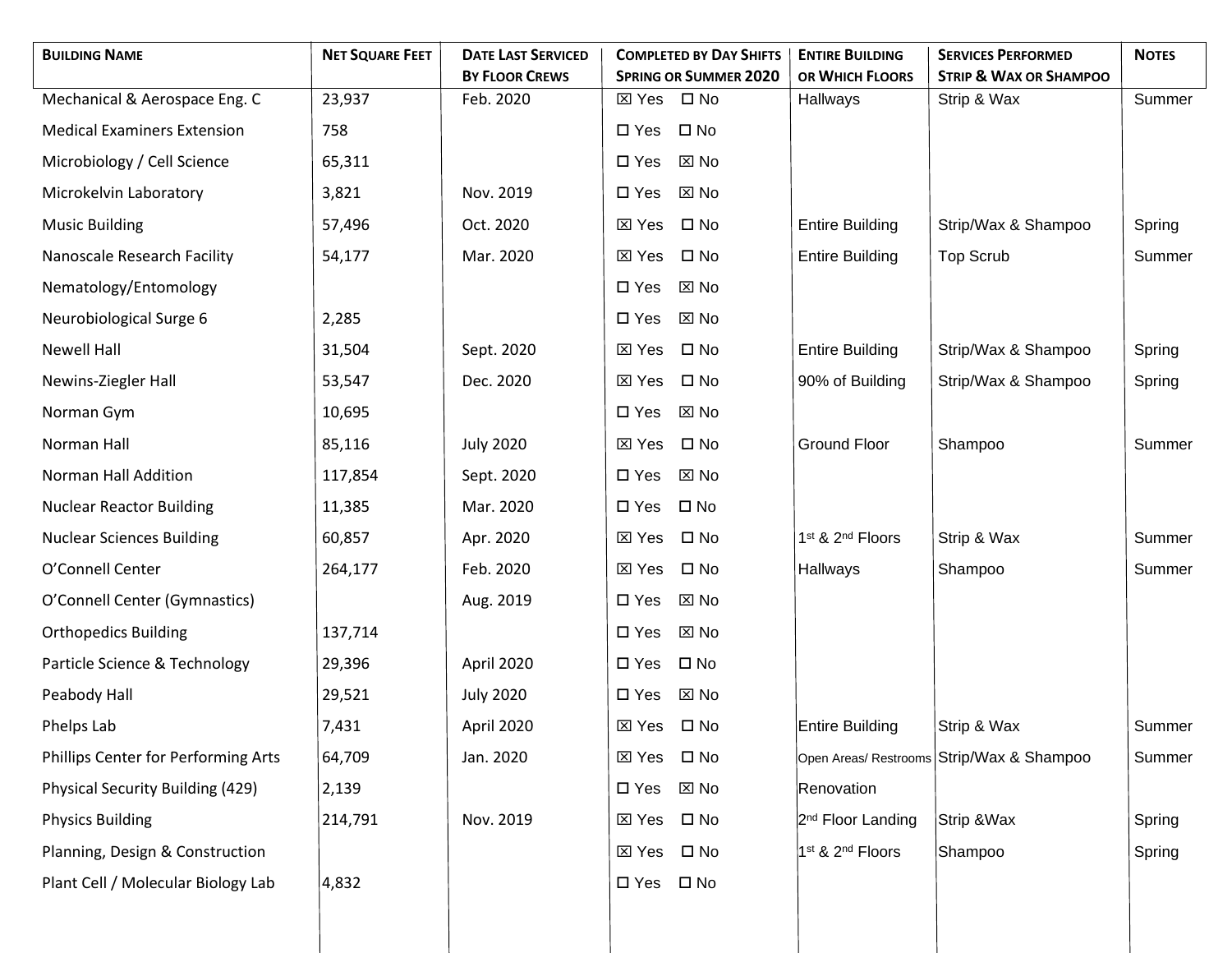| <b>BUILDING NAME</b>                | <b>NET SQUARE FEET</b> | <b>DATE LAST SERVICED</b>          | <b>COMPLETED BY DAY SHIFTS</b>               | <b>ENTIRE BUILDING</b>                   | <b>SERVICES PERFORMED</b>                        | <b>NOTES</b> |
|-------------------------------------|------------------------|------------------------------------|----------------------------------------------|------------------------------------------|--------------------------------------------------|--------------|
|                                     |                        | <b>BY FLOOR CREWS</b><br>Feb. 2020 | <b>SPRING OR SUMMER 2020</b><br>$\square$ No | OR WHICH FLOORS                          | <b>STRIP &amp; WAX OR SHAMPOO</b><br>Strip & Wax | Summer       |
| Mechanical & Aerospace Eng. C       | 23,937                 |                                    | ⊠ Yes                                        | Hallways                                 |                                                  |              |
| <b>Medical Examiners Extension</b>  | 758                    |                                    | $\square$ No<br>$\square$ Yes                |                                          |                                                  |              |
| Microbiology / Cell Science         | 65,311                 |                                    | $\square$ Yes<br>⊠ No                        |                                          |                                                  |              |
| Microkelvin Laboratory              | 3,821                  | Nov. 2019                          | $\square$ Yes<br>⊠ No                        |                                          |                                                  |              |
| <b>Music Building</b>               | 57,496                 | Oct. 2020                          | $\square$ No<br>⊠ Yes                        | <b>Entire Building</b>                   | Strip/Wax & Shampoo                              | Spring       |
| Nanoscale Research Facility         | 54,177                 | Mar. 2020                          | $\square$ No<br>⊠ Yes                        | <b>Entire Building</b>                   | <b>Top Scrub</b>                                 | Summer       |
| Nematology/Entomology               |                        |                                    | $\square$ Yes<br>⊠ No                        |                                          |                                                  |              |
| Neurobiological Surge 6             | 2,285                  |                                    | $\square$ Yes<br>⊠ No                        |                                          |                                                  |              |
| <b>Newell Hall</b>                  | 31,504                 | Sept. 2020                         | $\square$ No<br>⊠ Yes                        | <b>Entire Building</b>                   | Strip/Wax & Shampoo                              | Spring       |
| Newins-Ziegler Hall                 | 53,547                 | Dec. 2020                          | $\square$ No<br><b>区 Yes</b>                 | 90% of Building                          | Strip/Wax & Shampoo                              | Spring       |
| Norman Gym                          | 10,695                 |                                    | $\boxtimes$ No<br>$\square$ Yes              |                                          |                                                  |              |
| Norman Hall                         | 85,116                 | <b>July 2020</b>                   | $\square$ No<br>⊠ Yes                        | <b>Ground Floor</b>                      | Shampoo                                          | Summer       |
| Norman Hall Addition                | 117,854                | Sept. 2020                         | $\Sigma$ No<br>$\square$ Yes                 |                                          |                                                  |              |
| <b>Nuclear Reactor Building</b>     | 11,385                 | Mar. 2020                          | $\square$ No<br>$\square$ Yes                |                                          |                                                  |              |
| <b>Nuclear Sciences Building</b>    | 60,857                 | Apr. 2020                          | $\square$ No<br>⊠ Yes                        | 1 <sup>st</sup> & 2 <sup>nd</sup> Floors | Strip & Wax                                      | Summer       |
| O'Connell Center                    | 264,177                | Feb. 2020                          | $\square$ No<br>⊠ Yes                        | Hallways                                 | Shampoo                                          | Summer       |
| O'Connell Center (Gymnastics)       |                        | Aug. 2019                          | $\square$ Yes<br>⊠ No                        |                                          |                                                  |              |
| <b>Orthopedics Building</b>         | 137,714                |                                    | $\square$ Yes<br>⊠ No                        |                                          |                                                  |              |
| Particle Science & Technology       | 29,396                 | April 2020                         | $\square$ No<br>$\square$ Yes                |                                          |                                                  |              |
| Peabody Hall                        | 29,521                 | <b>July 2020</b>                   | $\square$ Yes<br>⊠ No                        |                                          |                                                  |              |
| Phelps Lab                          | 7,431                  | April 2020                         | $\boxtimes$ Yes<br>$\square$ No              | Entire Building                          | Strip & Wax                                      | Summer       |
| Phillips Center for Performing Arts | 64,709                 | Jan. 2020                          | $\square$ No<br>⊠ Yes                        |                                          | Open Areas/ Restrooms Strip/Wax & Shampoo        | Summer       |
| Physical Security Building (429)    | 2,139                  |                                    | $\boxtimes$ No<br>$\square$ Yes              | Renovation                               |                                                  |              |
| <b>Physics Building</b>             | 214,791                | Nov. 2019                          | $\square$ No<br>$\boxtimes$ Yes              | 2 <sup>nd</sup> Floor Landing            | Strip & Wax                                      | Spring       |
| Planning, Design & Construction     |                        |                                    | $\square$ No<br>$\boxtimes$ Yes              | $1st$ & 2 <sup>nd</sup> Floors           | Shampoo                                          | Spring       |
| Plant Cell / Molecular Biology Lab  | 4,832                  |                                    | $\square$ No<br>$\square$ Yes                |                                          |                                                  |              |
|                                     |                        |                                    |                                              |                                          |                                                  |              |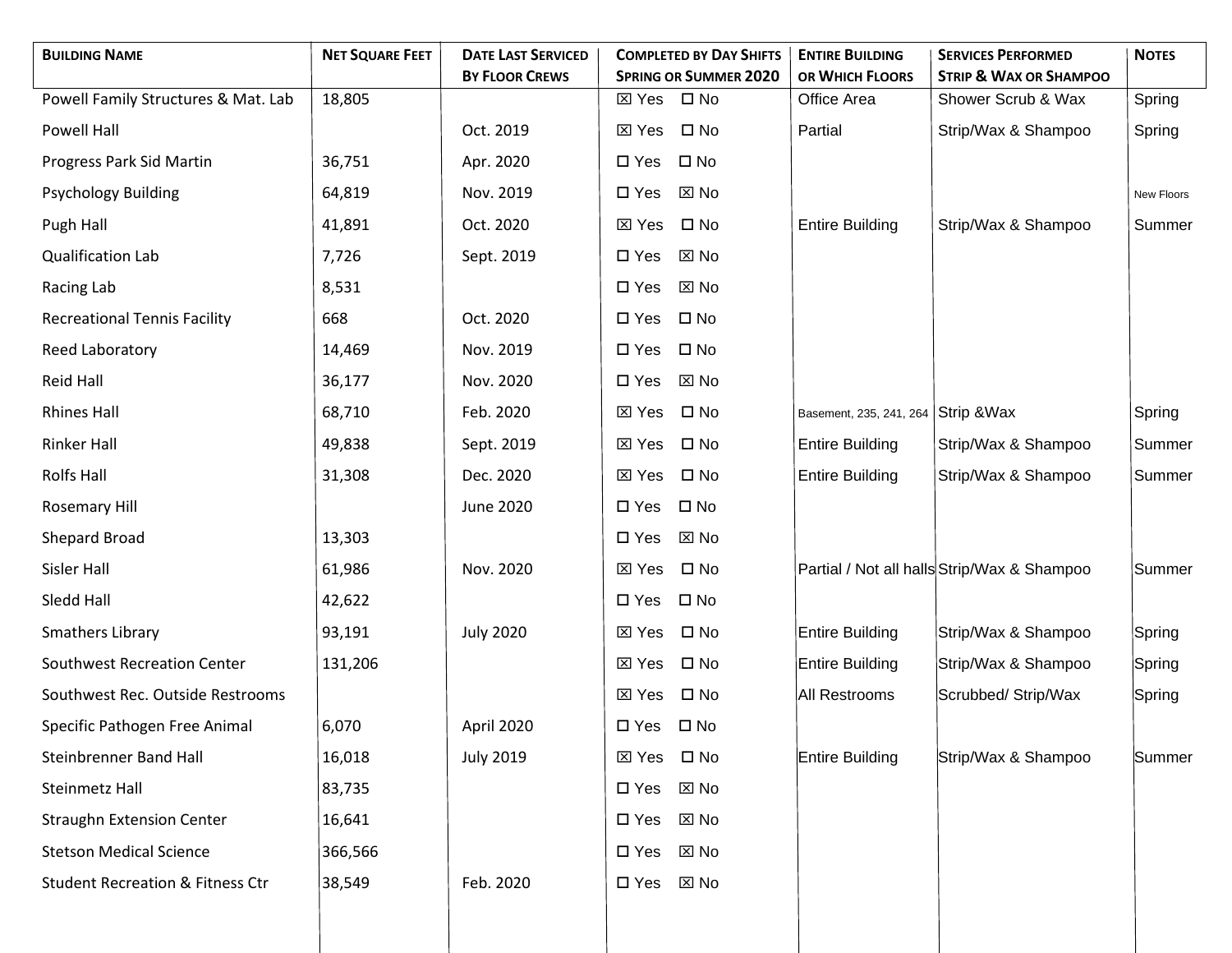| <b>BUILDING NAME</b>                        | <b>NET SQUARE FEET</b> | <b>DATE LAST SERVICED</b> | <b>COMPLETED BY DAY SHIFTS</b>  | <b>ENTIRE BUILDING</b>  | <b>SERVICES PERFORMED</b>                   | <b>NOTES</b>      |
|---------------------------------------------|------------------------|---------------------------|---------------------------------|-------------------------|---------------------------------------------|-------------------|
|                                             |                        | <b>BY FLOOR CREWS</b>     | <b>SPRING OR SUMMER 2020</b>    | OR WHICH FLOORS         | <b>STRIP &amp; WAX OR SHAMPOO</b>           |                   |
| Powell Family Structures & Mat. Lab         | 18,805                 |                           | ⊠ Yes □ No                      | Office Area             | Shower Scrub & Wax                          | Spring            |
| Powell Hall                                 |                        | Oct. 2019                 | $\square$ No<br>⊠ Yes           | Partial                 | Strip/Wax & Shampoo                         | Spring            |
| Progress Park Sid Martin                    | 36,751                 | Apr. 2020                 | $\square$ No<br>$\square$ Yes   |                         |                                             |                   |
| <b>Psychology Building</b>                  | 64,819                 | Nov. 2019                 | $\Sigma$ No<br>$\square$ Yes    |                         |                                             | <b>New Floors</b> |
| Pugh Hall                                   | 41,891                 | Oct. 2020                 | $\square$ No<br>$\boxtimes$ Yes | <b>Entire Building</b>  | Strip/Wax & Shampoo                         | Summer            |
| Qualification Lab                           | 7,726                  | Sept. 2019                | $\boxtimes$ No<br>$\square$ Yes |                         |                                             |                   |
| Racing Lab                                  | 8,531                  |                           | $\Sigma$ No<br>$\square$ Yes    |                         |                                             |                   |
| <b>Recreational Tennis Facility</b>         | 668                    | Oct. 2020                 | $\square$ No<br>$\square$ Yes   |                         |                                             |                   |
| Reed Laboratory                             | 14,469                 | Nov. 2019                 | $\square$ No<br>$\square$ Yes   |                         |                                             |                   |
| <b>Reid Hall</b>                            | 36,177                 | Nov. 2020                 | $\Sigma$ No<br>$\square$ Yes    |                         |                                             |                   |
| <b>Rhines Hall</b>                          | 68,710                 | Feb. 2020                 | $\square$ No<br>$\boxtimes$ Yes | Basement, 235, 241, 264 | Strip & Wax                                 | Spring            |
| <b>Rinker Hall</b>                          | 49,838                 | Sept. 2019                | $\square$ No<br>$\boxtimes$ Yes | <b>Entire Building</b>  | Strip/Wax & Shampoo                         | Summer            |
| <b>Rolfs Hall</b>                           | 31,308                 | Dec. 2020                 | $\square$ No<br>$\boxtimes$ Yes | <b>Entire Building</b>  | Strip/Wax & Shampoo                         | Summer            |
| Rosemary Hill                               |                        | June 2020                 | $\square$ No<br>$\square$ Yes   |                         |                                             |                   |
| Shepard Broad                               | 13,303                 |                           | $\square$ Yes<br>⊠ No           |                         |                                             |                   |
| Sisler Hall                                 | 61,986                 | Nov. 2020                 | $\square$ No<br>⊠ Yes           |                         | Partial / Not all halls Strip/Wax & Shampoo | Summer            |
| Sledd Hall                                  | 42,622                 |                           | $\square$ No<br>$\square$ Yes   |                         |                                             |                   |
| Smathers Library                            | 93,191                 | <b>July 2020</b>          | $\square$ No<br>$\boxtimes$ Yes | Entire Building         | Strip/Wax & Shampoo                         | Spring            |
| <b>Southwest Recreation Center</b>          | 131,206                |                           | $\square$ No<br>⊠ Yes           | Entire Building         | Strip/Wax & Shampoo                         | Spring            |
| Southwest Rec. Outside Restrooms            |                        |                           | $\square$ No<br>⊠ Yes           | All Restrooms           | Scrubbed/ Strip/Wax                         | Spring            |
| Specific Pathogen Free Animal               | 6,070                  | April 2020                | $\square$ No<br>$\square$ Yes   |                         |                                             |                   |
| <b>Steinbrenner Band Hall</b>               | 16,018                 | <b>July 2019</b>          | ⊠ Yes □ No                      | Entire Building         | Strip/Wax & Shampoo                         | Summer            |
| Steinmetz Hall                              | 83,735                 |                           | $\boxtimes$ No<br>$\square$ Yes |                         |                                             |                   |
| <b>Straughn Extension Center</b>            | 16,641                 |                           | $\Sigma$ No<br>$\square$ Yes    |                         |                                             |                   |
| <b>Stetson Medical Science</b>              | 366,566                |                           | $\boxtimes$ No<br>$\square$ Yes |                         |                                             |                   |
| <b>Student Recreation &amp; Fitness Ctr</b> | 38,549                 | Feb. 2020                 | $\Sigma$ No<br>$\square$ Yes    |                         |                                             |                   |
|                                             |                        |                           |                                 |                         |                                             |                   |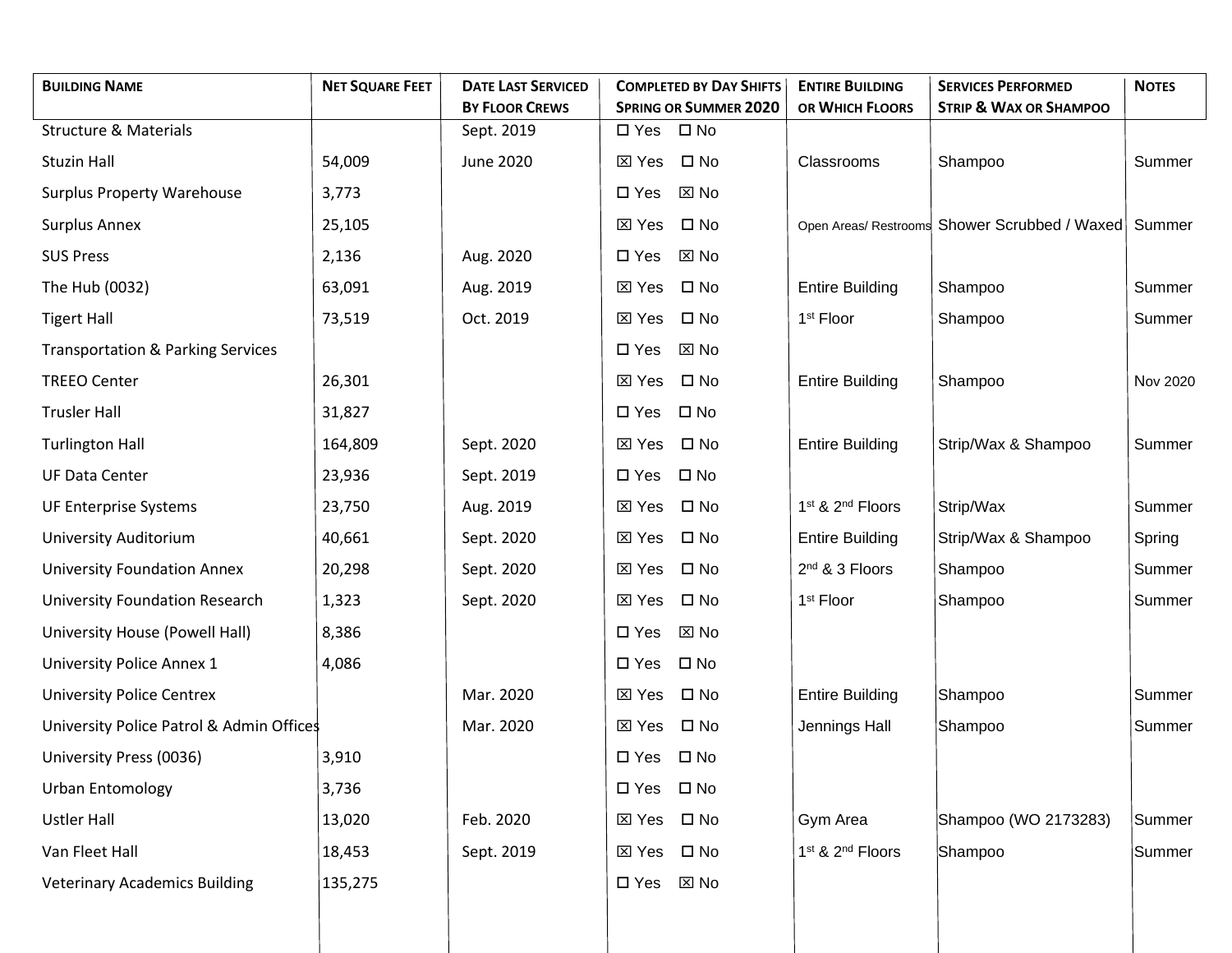| <b>BUILDING NAME</b>                         | <b>NET SQUARE FEET</b> | <b>DATE LAST SERVICED</b> | <b>COMPLETED BY DAY SHIFTS</b>  | <b>ENTIRE BUILDING</b>                   | <b>SERVICES PERFORMED</b>                     | <b>NOTES</b> |
|----------------------------------------------|------------------------|---------------------------|---------------------------------|------------------------------------------|-----------------------------------------------|--------------|
|                                              |                        | <b>BY FLOOR CREWS</b>     | <b>SPRING OR SUMMER 2020</b>    | OR WHICH FLOORS                          | <b>STRIP &amp; WAX OR SHAMPOO</b>             |              |
| <b>Structure &amp; Materials</b>             |                        | Sept. 2019                | $\square$ No<br>$\square$ Yes   |                                          |                                               |              |
| <b>Stuzin Hall</b>                           | 54,009                 | <b>June 2020</b>          | $\boxtimes$ Yes<br>$\square$ No | Classrooms                               | Shampoo                                       | Summer       |
| <b>Surplus Property Warehouse</b>            | 3,773                  |                           | $\square$ Yes<br>⊠ No           |                                          |                                               |              |
| <b>Surplus Annex</b>                         | 25,105                 |                           | ⊠ Yes<br>$\square$ No           |                                          | Open Areas/ Restrooms Shower Scrubbed / Waxed | Summer       |
| <b>SUS Press</b>                             | 2,136                  | Aug. 2020                 | $\Sigma$ No<br>$\square$ Yes    |                                          |                                               |              |
| The Hub (0032)                               | 63,091                 | Aug. 2019                 | ⊠ Yes<br>$\square$ No           | <b>Entire Building</b>                   | Shampoo                                       | Summer       |
| <b>Tigert Hall</b>                           | 73,519                 | Oct. 2019                 | <b>XX</b> Yes<br>$\square$ No   | 1 <sup>st</sup> Floor                    | Shampoo                                       | Summer       |
| <b>Transportation &amp; Parking Services</b> |                        |                           | $\Sigma$ No<br>$\square$ Yes    |                                          |                                               |              |
| <b>TREEO Center</b>                          | 26,301                 |                           | ⊠ Yes<br>$\square$ No           | <b>Entire Building</b>                   | Shampoo                                       | Nov 2020     |
| <b>Trusler Hall</b>                          | 31,827                 |                           | $\square$ No<br>$\square$ Yes   |                                          |                                               |              |
| <b>Turlington Hall</b>                       | 164,809                | Sept. 2020                | $\square$ No<br>⊠ Yes           | <b>Entire Building</b>                   | Strip/Wax & Shampoo                           | Summer       |
| <b>UF Data Center</b>                        | 23,936                 | Sept. 2019                | $\square$ No<br>$\square$ Yes   |                                          |                                               |              |
| UF Enterprise Systems                        | 23,750                 | Aug. 2019                 | $\square$ No<br>⊠ Yes           | 1 <sup>st</sup> & 2 <sup>nd</sup> Floors | Strip/Wax                                     | Summer       |
| University Auditorium                        | 40,661                 | Sept. 2020                | $\square$ No<br>$\boxtimes$ Yes | <b>Entire Building</b>                   | Strip/Wax & Shampoo                           | Spring       |
| <b>University Foundation Annex</b>           | 20,298                 | Sept. 2020                | $\square$ No<br>$\boxtimes$ Yes | 2 <sup>nd</sup> & 3 Floors               | Shampoo                                       | Summer       |
| <b>University Foundation Research</b>        | 1,323                  | Sept. 2020                | ⊠ Yes<br>$\square$ No           | 1 <sup>st</sup> Floor                    | Shampoo                                       | Summer       |
| University House (Powell Hall)               | 8,386                  |                           | $\square$ Yes<br>$\boxtimes$ No |                                          |                                               |              |
| University Police Annex 1                    | 4,086                  |                           | $\square$ No<br>$\square$ Yes   |                                          |                                               |              |
| <b>University Police Centrex</b>             |                        | Mar. 2020                 | ⊠ Yes<br>$\square$ No           | <b>Entire Building</b>                   | Shampoo                                       | Summer       |
| University Police Patrol & Admin Offices     |                        | Mar. 2020                 | $\square$ No<br>$\boxtimes$ Yes | Jennings Hall                            | Shampoo                                       | Summer       |
| University Press (0036)                      | 3,910                  |                           | $\square$ No<br>$\square$ Yes   |                                          |                                               |              |
| <b>Urban Entomology</b>                      | 3,736                  |                           | $\square$ No<br>$\square$ Yes   |                                          |                                               |              |
| <b>Ustler Hall</b>                           | 13,020                 | Feb. 2020                 | $\square$ No<br>$\boxtimes$ Yes | Gym Area                                 | Shampoo (WO 2173283)                          | Summer       |
| Van Fleet Hall                               | 18,453                 | Sept. 2019                | $\square$ No<br>$\boxtimes$ Yes | 1 <sup>st</sup> & 2 <sup>nd</sup> Floors | Shampoo                                       | Summer       |
| <b>Veterinary Academics Building</b>         | 135,275                |                           | $\boxtimes$ No<br>$\square$ Yes |                                          |                                               |              |
|                                              |                        |                           |                                 |                                          |                                               |              |